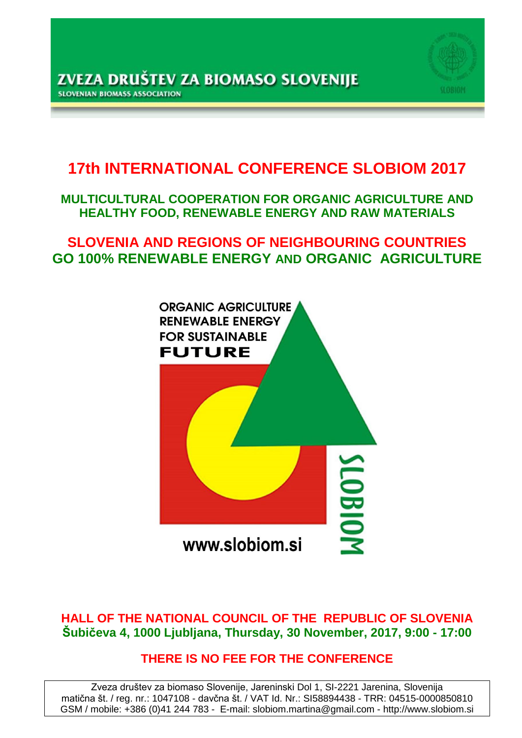

# **17th INTERNATIONAL CONFERENCE SLOBIOM 2017**

## **MULTICULTURAL COOPERATION FOR ORGANIC AGRICULTURE AND HEALTHY FOOD, RENEWABLE ENERGY AND RAW MATERIALS**

## **SLOVENIA AND REGIONS OF NEIGHBOURING COUNTRIES GO 100% RENEWABLE ENERGY AND ORGANIC AGRICULTURE**



## **HALL OF THE NATIONAL COUNCIL OF THE REPUBLIC OF SLOVENIA Šubičeva 4, 1000 Ljubljana, Thursday, 30 November, 2017, 9:00 - 17:00**

## **THERE IS NO FEE FOR THE CONFERENCE**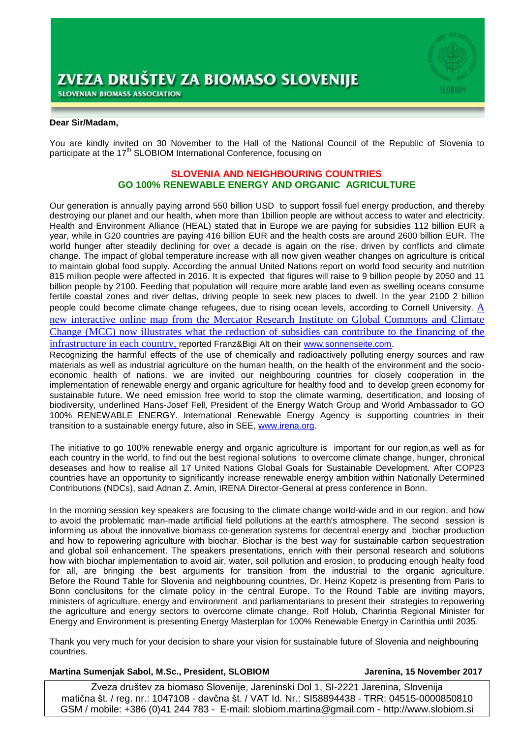

#### **Dear Sir/Madam,**

You are kindly invited on 30 November to the Hall of the National Council of the Republic of Slovenia to participate at the 17<sup>th</sup> SLOBIOM International Conference, focusing on

#### **SLOVENIA AND NEIGHBOURING COUNTRIES GO 100% RENEWABLE ENERGY AND ORGANIC AGRICULTURE**

Our generation is annually paying arrond 550 billion USD to support fossil fuel energy production, and thereby destroying our planet and our health, when more than 1billion people are without access to water and electricity. Health and Environment Alliance [\(HEAL\)](http://www.env-health.org/) stated that in Europe we are paying for subsidies 112 billion EUR a year, while in G20 countries are paying 416 billion EUR and the health costs are around 2600 billion EUR. The world hunger after steadily declining for over a decade is again on the rise, driven by conflicts and climate change. The impact of global temperature increase with all now given weather changes on agriculture is critical to maintain global food supply. According the annual United Nations report on world food security and nutrition 815 million people were affected in 2016. It is expected that figures will raise to 9 billion people by 2050 and 11 billion people by 2100. Feeding that population will require more arable land even as swelling oceans consume fertile coastal zones and river deltas, driving people to seek new places to dwell. In the year 2100 2 billion people could become climate change refugees, due to rising ocean levels, according to Cornell University. A new interactive online map from the Mercator Research Institute on Global Commons and Climate Change (MCC) now illustrates what the reduction of subsidies can contribute to the financing of the infrastructure in each country, reported Franz&Bigi Alt on their [www.sonnenseite.com.](http://www.sonnenseite.com/)

Recognizing the harmful effects of the use of chemically and radioactively polluting energy sources and raw materials as well as industrial agriculture on the human health, on the health of the environment and the socioeconomic health of nations, we are invited our neighbouring countries for closely cooperation in the implementation of renewable energy and organic agriculture for healthy food and to develop green economy for sustainable future. We need emission free world to stop the climate warming, desertification, and loosing of biodiversity, underlined Hans-Josef Fell, President of the Energy Watch Group and World Ambassador to GO 100% RENEWABLE ENERGY. International Renewable Energy Agency is supporting countries in their transition to a sustainable energy future, also in SEE, [www.irena.org.](http://www.irena.org/)

The initiative to go 100% renewable energy and organic agriculture is important for our region,as well as for each country in the world, to find out the best regional solutions to overcome climate change, hunger, chronical deseases and how to realise all 17 United Nations Global Goals for Sustainable Development. After COP23 countries have an opportunity to significantly increase renewable energy ambition within Nationally Determined Contributions (NDCs), said Adnan Z. Amin, IRENA Director-General at press conference in Bonn.

In the morning session key speakers are focusing to the climate change world-wide and in our region, and how to avoid the problematic man-made artificial field pollutions at the earth's atmosphere. The second session is informing us about the innovative biomass co-generation systems for decentral energy and biochar production and how to repowering agriculture with biochar. Biochar is the best way for sustainable carbon sequestration and global soil enhancement. The speakers presentations, enrich with their personal research and solutions how with biochar implementation to avoid air, water, soil pollution and erosion, to producing enough healty food for all, are bringing the best arguments for transition from the industrial to the organic agriculture. Before the Round Table for Slovenia and neighbouring countries, Dr. Heinz Kopetz is presenting from Paris to Bonn conclusitons for the climate policy in the central Europe. To the Round Table are inviting mayors, ministers of agriculture, energy and environment and parliamentarians to present their strategies to repowering the agriculture and energy sectors to overcome climate change. Rolf Holub, Charintia Regional Minister for Energy and Environment is presenting Energy Masterplan for 100% Renewable Energy in Carinthia until 2035.

Thank you very much for your decision to share your vision for sustainable future of Slovenia and neighbouring countries.

#### **Martina Sumenjak Sabol, M.Sc., President, SLOBIOM Jarenina, 15 November 2017**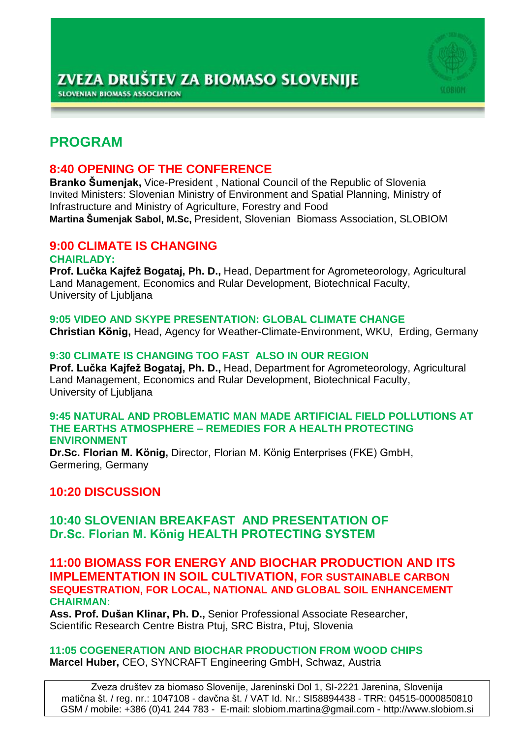

## **PROGRAM**

## **8:40 OPENING OF THE CONFERENCE**

**Branko Šumenjak,** Vice-President , National Council of the Republic of Slovenia Invited Ministers: Slovenian Ministry of Environment and Spatial Planning, Ministry of Infrastructure and Ministry of Agriculture, Forestry and Food **Martina Šumenjak Sabol, M.Sc,** President, Slovenian Biomass Association, SLOBIOM

## **9:00 CLIMATE IS CHANGING**

#### **CHAIRLADY:**

**Prof. Lučka Kajfež Bogataj, Ph. D.,** Head, Department for Agrometeorology, Agricultural Land Management, Economics and Rular Development, Biotechnical Faculty, University of Ljubljana

## **9:05 VIDEO AND SKYPE PRESENTATION: GLOBAL CLIMATE CHANGE**

**Christian König,** Head, Agency for Weather-Climate-Environment, WKU, Erding, Germany

### **9:30 CLIMATE IS CHANGING TOO FAST ALSO IN OUR REGION**

**Prof. Lučka Kajfež Bogataj, Ph. D.,** Head, Department for Agrometeorology, Agricultural Land Management, Economics and Rular Development, Biotechnical Faculty, University of Ljubljana

#### **9:45 NATURAL AND PROBLEMATIC MAN MADE ARTIFICIAL FIELD POLLUTIONS AT THE EARTHS ATMOSPHERE – REMEDIES FOR A HEALTH PROTECTING ENVIRONMENT**

**Dr.Sc. Florian M. König,** Director, Florian M. König Enterprises (FKE) GmbH, Germering, Germany

## **10:20 DISCUSSION**

## **10:40 SLOVENIAN BREAKFAST AND PRESENTATION OF Dr.Sc. Florian M. König HEALTH PROTECTING SYSTEM**

### **11:00 BIOMASS FOR ENERGY AND BIOCHAR PRODUCTION AND ITS IMPLEMENTATION IN SOIL CULTIVATION, FOR SUSTAINABLE CARBON SEQUESTRATION, FOR LOCAL, NATIONAL AND GLOBAL SOIL ENHANCEMENT CHAIRMAN:**

**Ass. Prof. Dušan Klinar, Ph. D.,** Senior Professional Associate Researcher, Scientific Research Centre Bistra Ptuj, SRC Bistra, Ptuj, Slovenia

#### **11:05 COGENERATION AND BIOCHAR PRODUCTION FROM WOOD CHIPS Marcel Huber,** CEO, SYNCRAFT Engineering GmbH, Schwaz, Austria